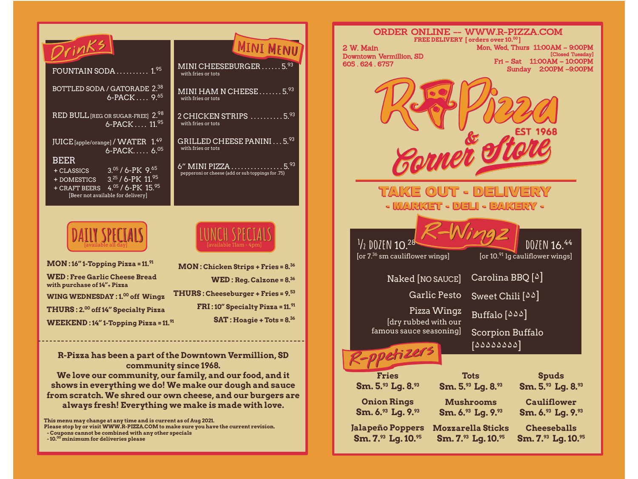| <b>MINT</b>                                                 |
|-------------------------------------------------------------|
|                                                             |
| MINI CHEESEBURGER<br>with fries or tots                     |
| MINI HAM N CHEESE.<br>with fries or tots                    |
| 2 CHICKEN STRIPS<br>with fries or tots                      |
| GRILLED CHEESE PANINI<br>with fries or tots                 |
| 6" MINI PIZZA<br>pepperoni or cheese (add or sub toppings f |
|                                                             |



| $MON:16"$ 1-Topping Pizza = 11. <sup>91</sup>                       |  |
|---------------------------------------------------------------------|--|
| <b>WED: Free Garlic Cheese Bread</b><br>with purchase of 14"+ Pizza |  |
| <b>WING WEDNESDAY: 1.00 off Wingz</b>                               |  |
| THURS: 2.00 off 14" Specialty Pizza                                 |  |
| <b>WEEKEND: 14" 1-Topping Pizza = 11.91</b>                         |  |

| 6" MINI PIZZA $\ldots\ldots\ldots\ldots\ldots\ldots\ldots$<br>pepperoni or cheese (add or sub toppings for .75) |
|-----------------------------------------------------------------------------------------------------------------|
| LUNCH SPECIALS<br>[available 11am - 4pm]                                                                        |
| <b>MON: Chicken Strips + Fries = 8.36</b>                                                                       |
| $WED$ : Reg. Calzone = $8^{36}$                                                                                 |
| $\mathbf{THURS}$ : Cheeseburger + Fries = 9. $^{53}$                                                            |
| FRI: 10" Specialty Pizza = 11.91                                                                                |
| $SAT: Hoagie + Tots = 8.36$                                                                                     |

 $.5.<sup>93</sup>$ 

IENU

 $... 5.93$ 

 $. .5.93$ 

 $.5.93$ 

## **R-Pizza has been a part of the Downtown Vermillion, SD community since 1968.**

**We love our community, our family, and our food, and it shows in everything we do! We make our dough and sauce from scratch. We shred our own cheese, and our burgers are always fresh! Everything we make is made with love.**

**This menu may change at any time and is current as of Aug 2021.**

**Please stop by or visit WWW.R-PIZZA.COM to make sure you have the current revision. - Coupons cannot be combined with any other specials**

 **- 10.00 minimum for deliveries please**

| ORDER ONLINE -- WWW.R-PIZZA.COM                                                                                       |                                                      |
|-----------------------------------------------------------------------------------------------------------------------|------------------------------------------------------|
| FREE DELIVERY [orders over 10.00]<br>2 W. Main                                                                        | Mon, Wed, Thurs 11:00AM - 9:00PM                     |
| Downtown Vermillion, SD<br>605.624.6757                                                                               | [Closed Tuesday]<br>$Fri-Sat$<br>11:00AM - 10:00PM   |
|                                                                                                                       | 2:00PM -9:00PM<br>Sunday                             |
|                                                                                                                       |                                                      |
| VINNE                                                                                                                 |                                                      |
| TAKE OUT - DELIVERY                                                                                                   |                                                      |
| <u> - MARKET - DELI - BAKERY -</u>                                                                                    |                                                      |
|                                                                                                                       |                                                      |
| $\frac{1}{2}$ DO $\sqrt{2}$ EN $\overline{10.^{28}}$<br>[or 7. <sup>36</sup> sm cauliflower wings]                    | DOZEN 16.44<br>[or $10.^{91}$ lg cauliflower wings]  |
| Naked [NO SAUCE]                                                                                                      | $Carolina BBQ [^{\Delta}]$                           |
| <b>Garlic Pesto</b>                                                                                                   | Sweet Chili $[\delta \delta]$                        |
| Pizza Wingz<br>[dry rubbed with our                                                                                   | Buffalo $\lceil \delta \bar{\Delta} \Delta \rceil$   |
| famous sauce seasoning]                                                                                               | Scorpion Buffalo                                     |
| tizers                                                                                                                | [۵۵۵۵۵۵۵]                                            |
| <b>Fries</b><br>Tots                                                                                                  | <b>Spuds</b>                                         |
| Sm. $5.^{\circ3}$ Lg. $8.^{\circ3}$<br>Sm. $5.^{\circ}$ Lg. $8.^{\circ}$                                              | Sm. $5.^{\circ3}$ Lg. $8.^{\circ3}$                  |
| <b>Onion Rings</b><br><b>Mushrooms</b>                                                                                | <b>Cauliflower</b>                                   |
| Sm. 6. $\rm{^{93}}$ Lg. 9. $\rm{^{93}}$<br>Sm. $6.^{\circ}$ Lg. $9.^{\circ}$                                          | Sm. $6.^{\circ3}$ Lg. $9.^{\circ3}$                  |
| <b>Mozzarella Sticks</b><br><b>Jalapeño Poppers</b><br>Sm. 7.93 Lg. 10.95<br>$\rm Sm.7.^{\rm s}.$ Lg. 10. $^{\rm s}.$ | <b>Cheeseballs</b><br>Sm. $7.^\circ$ Lg. $10.^\circ$ |